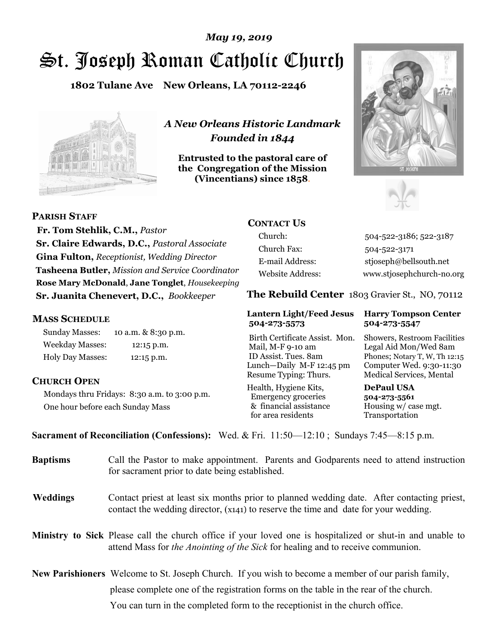# St. Joseph Roman Catholic Church *May 19, 2019*

**1802 Tulane Ave New Orleans, LA 70112-2246**



*A New Orleans Historic Landmark Founded in 1844* 

**Entrusted to the pastoral care of the Congregation of the Mission (Vincentians) since 1858**.





**PARISH STAFF**

 **Fr. Tom Stehlik, C.M.,** *Pastor* **Sr. Claire Edwards, D.C.,** *Pastoral Associate* **Gina Fulton,** *Receptionist, Wedding Director* **Tasheena Butler,** *Mission and Service Coordinator* **Rose Mary McDonald**, **Jane Tonglet**, *Housekeeping* **Sr. Juanita Chenevert, D.C.,** *Bookkeeper* 

#### **MASS SCHEDULE**

Sunday Masses: 10 a.m. & 8:30 p.m. Weekday Masses: 12:15 p.m. Holy Day Masses: 12:15 p.m.

### **CHURCH OPEN**

Mondays thru Fridays: 8:30 a.m. to 3:00 p.m. One hour before each Sunday Mass

# **CONTACT US**

Church: 504-522-3186; 522-3187 Church Fax: 504-522-3171 E-mail Address: stjoseph@bellsouth.net Website Address: www.stjosephchurch-no.org

**The Rebuild Center** 1803 Gravier St., NO, 70112

#### **Lantern Light/Feed Jesus Harry Tompson Center 504-273-5573 504-273-5547**

Birth Certificate Assist. Mon. Showers, Restroom Facilities Mail, M-F 9-10 am Legal Aid Mon/Wed 8am ID Assist. Tues. 8am Phones; Notary T, W, Th 12:15 Lunch—Daily M-F 12:45 pm Computer Wed. 9:30-11:30 Resume Typing: Thurs. Medical Services, Mental

Health, Hygiene Kits, **DePaul USA**  Emergency groceries **504-273-5561** & financial assistance Housing w/ case mgt.<br>for area residents Transportation for area residents

**Sacrament of Reconciliation (Confessions):** Wed. & Fri. 11:50—12:10 ; Sundays 7:45—8:15 p.m.

| <b>Baptisms</b> | Call the Pastor to make appointment. Parents and Godparents need to attend instruction<br>for sacrament prior to date being established.                                                            |  |
|-----------------|-----------------------------------------------------------------------------------------------------------------------------------------------------------------------------------------------------|--|
| <b>Weddings</b> | Contact priest at least six months prior to planned wedding date. After contacting priest,<br>contact the wedding director, (x141) to reserve the time and date for your wedding.                   |  |
|                 | <b>Ministry to Sick</b> Please call the church office if your loved one is hospitalized or shut-in and unable to<br>attend Mass for the Anointing of the Sick for healing and to receive communion. |  |
|                 | <b>New Parishioners</b> Welcome to St. Joseph Church. If you wish to become a member of our parish family,                                                                                          |  |
|                 | please complete one of the registration forms on the table in the rear of the church.                                                                                                               |  |
|                 | You can turn in the completed form to the reception is the church office.                                                                                                                           |  |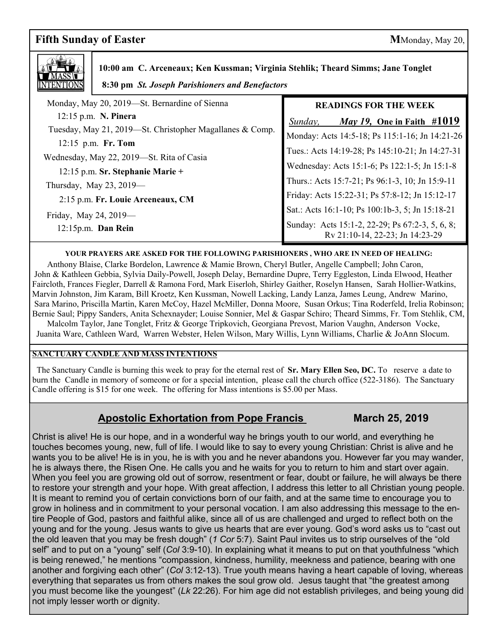# **Fifth Sunday of Easter** MMonday, May 20,



 **10:00 am C. Arceneaux; Ken Kussman; Virginia Stehlik; Theard Simms; Jane Tonglet**

|  |  |  | 8:30 pm St. Joseph Parishioners and Benefactors |
|--|--|--|-------------------------------------------------|
|--|--|--|-------------------------------------------------|

| Monday, May 20, 2019—St. Bernardine of Sienna            | <b>READINGS FOR THE WEEK</b>                                                       |
|----------------------------------------------------------|------------------------------------------------------------------------------------|
| 12:15 p.m. N. Pinera                                     | May 19, One in Faith #1019<br>Sunday,                                              |
| Tuesday, May 21, 2019—St. Christopher Magallanes & Comp. | Monday: Acts 14:5-18; Ps 115:1-16; Jn 14:21-26                                     |
| 12:15 p.m. Fr. Tom                                       |                                                                                    |
| Wednesday, May 22, 2019-St. Rita of Casia                | Tues.: Acts 14:19-28; Ps 145:10-21; Jn 14:27-31                                    |
| $12:15$ p.m. Sr. Stephanie Marie +                       | Wednesday: Acts 15:1-6; Ps 122:1-5; Jn 15:1-8                                      |
| Thursday, May 23, $2019$ —                               | Thurs.: Acts 15:7-21; Ps 96:1-3, 10; Jn 15:9-11                                    |
| 2:15 p.m. Fr. Louie Arceneaux, CM                        | Friday: Acts 15:22-31; Ps 57:8-12; Jn 15:12-17                                     |
|                                                          | Sat.: Acts 16:1-10; Ps 100:1b-3, 5; Jn 15:18-21                                    |
| Friday, May 24, 2019-<br>12:15p.m. Dan Rein              | Sunday: Acts 15:1-2, 22-29; Ps 67:2-3, 5, 6, 8;<br>Rv 21:10-14, 22-23; Jn 14:23-29 |

#### **YOUR PRAYERS ARE ASKED FOR THE FOLLOWING PARISHIONERS , WHO ARE IN NEED OF HEALING:**

 Anthony Blaise, Clarke Bordelon, Lawrence & Mamie Brown, Cheryl Butler, Angelle Campbell; John Caron, John & Kathleen Gebbia, Sylvia Daily-Powell, Joseph Delay, Bernardine Dupre, Terry Eggleston, Linda Elwood, Heather Faircloth, Frances Fiegler, Darrell & Ramona Ford, Mark Eiserloh, Shirley Gaither, Roselyn Hansen, Sarah Hollier-Watkins, Marvin Johnston, Jim Karam, Bill Kroetz, Ken Kussman, Nowell Lacking, Landy Lanza, James Leung, Andrew Marino, Sara Marino, Priscilla Martin, Karen McCoy, Hazel McMiller, Donna Moore, Susan Orkus; Tina Roderfeld, Irelia Robinson; Bernie Saul; Pippy Sanders, Anita Schexnayder; Louise Sonnier, Mel & Gaspar Schiro; Theard Simms, Fr. Tom Stehlik, CM, Malcolm Taylor, Jane Tonglet, Fritz & George Tripkovich, Georgiana Prevost, Marion Vaughn, Anderson Vocke,

Juanita Ware, Cathleen Ward, Warren Webster, Helen Wilson, Mary Willis, Lynn Williams, Charlie & JoAnn Slocum.

#### **SANCTUARY CANDLE AND MASS INTENTIONS**

 The Sanctuary Candle is burning this week to pray for the eternal rest of **Sr. Mary Ellen Seo, DC.** To reserve a date to burn the Candle in memory of someone or for a special intention, please call the church office (522-3186). The Sanctuary Candle offering is \$15 for one week. The offering for Mass intentions is \$5.00 per Mass.

## **Apostolic Exhortation from Pope Francis March 25, 2019**

 touches becomes young, new, full of life. I would like to say to every young Christian: Christ is alive and he Christ is alive! He is our hope, and in a wonderful way he brings youth to our world, and everything he wants you to be alive! He is in you, he is with you and he never abandons you. However far you may wander, he is always there, the Risen One. He calls you and he waits for you to return to him and start over again. When you feel you are growing old out of sorrow, resentment or fear, doubt or failure, he will always be there to restore your strength and your hope. With great affection, I address this letter to all Christian young people. It is meant to remind you of certain convictions born of our faith, and at the same time to encourage you to grow in holiness and in commitment to your personal vocation. I am also addressing this message to the entire People of God, pastors and faithful alike, since all of us are challenged and urged to reflect both on the young and for the young. Jesus wants to give us hearts that are ever young. God's word asks us to "cast out the old leaven that you may be fresh dough" (*1 Cor* 5:7). Saint Paul invites us to strip ourselves of the "old self" and to put on a "young" self (*Col* 3:9-10). In explaining what it means to put on that youthfulness "which is being renewed," he mentions "compassion, kindness, humility, meekness and patience, bearing with one another and forgiving each other" (*Col* 3:12-13). True youth means having a heart capable of loving, whereas everything that separates us from others makes the soul grow old. Jesus taught that "the greatest among you must become like the youngest" (*Lk* 22:26). For him age did not establish privileges, and being young did not imply lesser worth or dignity.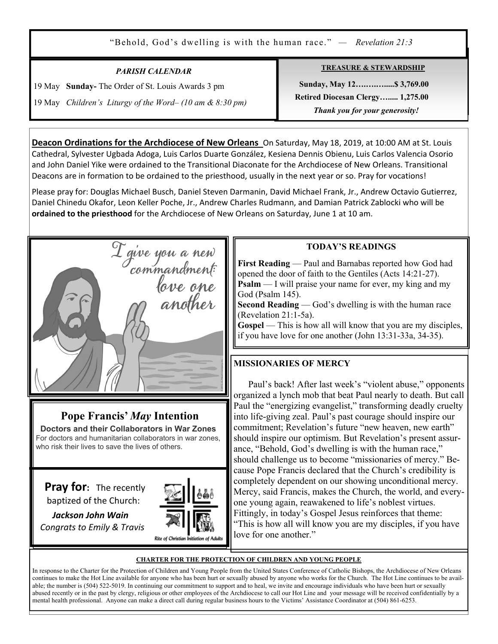"Behold, God's dwelling is with the human race." *— Revelation 21:3* 

### *PARISH CALENDAR*

19 May **Sunday-** The Order of St. Louis Awards 3 pm

Ξ

19 May *Children's Liturgy of the Word– (10 am & 8:30 pm)*

**TREASURE & STEWARDSHIP**

 **Sunday, May 12….….….....\$ 3,769.00 Retired Diocesan Clergy…..... 1,275.00**   *Thank you for your generosity!* 

**Deacon Ordinations for the Archdiocese of New Orleans** On Saturday, May 18, 2019, at 10:00 AM at St. Louis Cathedral, Sylvester Ugbada Adoga, Luis Carlos Duarte González, Kesiena Dennis Obienu, Luis Carlos Valencia Osorio and John Daniel Yike were ordained to the Transitional Diaconate for the Archdiocese of New Orleans. Transitional Deacons are in formation to be ordained to the priesthood, usually in the next year or so. Pray for vocations!

Please pray for: Douglas Michael Busch, Daniel Steven Darmanin, David Michael Frank, Jr., Andrew Octavio Gutierrez, Daniel Chinedu Okafor, Leon Keller Poche, Jr., Andrew Charles Rudmann, and Damian Patrick Zablocki who will be **ordained to the priesthood** for the Archdiocese of New Orleans on Saturday, June 1 at 10 am.



# **Pope Francis'** *May* **Intention**

 **Doctors and their Collaborators in War Zones** For doctors and humanitarian collaborators in war zones, who risk their lives to save the lives of others.

**Pray for:** The recently baptized of the Church:



 *Jackson John Wain Congrats to Emily & Travis*

### **TODAY'S READINGS**

**First Reading** — Paul and Barnabas reported how God had opened the door of faith to the Gentiles (Acts 14:21-27). **Psalm** — I will praise your name for ever, my king and my God (Psalm 145).

**Second Reading** — God's dwelling is with the human race (Revelation 21:1-5a).

**Gospel** — This is how all will know that you are my disciples, if you have love for one another (John 13:31-33a, 34-35).

## **MISSIONARIES OF MERCY**

 Paul's back! After last week's "violent abuse," opponents organized a lynch mob that beat Paul nearly to death. But call Paul the "energizing evangelist," transforming deadly cruelty into life-giving zeal. Paul's past courage should inspire our commitment; Revelation's future "new heaven, new earth" should inspire our optimism. But Revelation's present assurance, "Behold, God's dwelling is with the human race," should challenge us to become "missionaries of mercy." Because Pope Francis declared that the Church's credibility is completely dependent on our showing unconditional mercy. Mercy, said Francis, makes the Church, the world, and everyone young again, reawakened to life's noblest virtues. Fittingly, in today's Gospel Jesus reinforces that theme: "This is how all will know you are my disciples, if you have love for one another."

#### **CHARTER FOR THE PROTECTION OF CHILDREN AND YOUNG PEOPLE**

In response to the Charter for the Protection of Children and Young People from the United States Conference of Catholic Bishops, the Archdiocese of New Orleans continues to make the Hot Line available for anyone who has been hurt or sexually abused by anyone who works for the Church. The Hot Line continues to be available; the number is (504) 522-5019. In continuing our commitment to support and to heal, we invite and encourage individuals who have been hurt or sexually abused recently or in the past by clergy, religious or other employees of the Archdiocese to call our Hot Line and your message will be received confidentially by a mental health professional. Anyone can make a direct call during regular business hours to the Victims' Assistance Coordinator at (504) 861-6253.